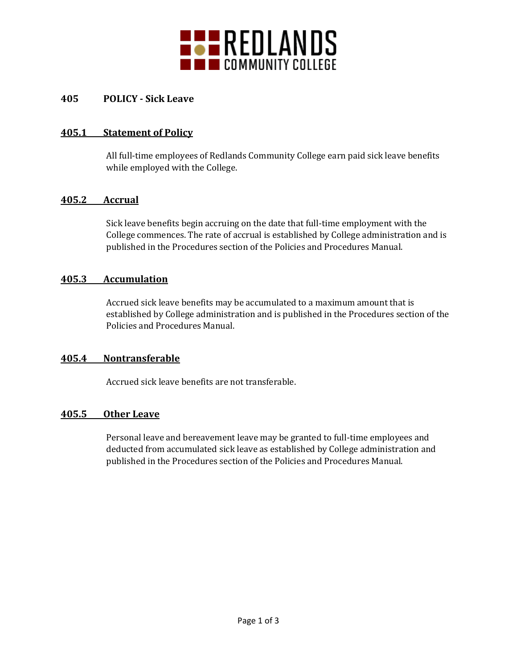

## **405 POLICY - Sick Leave**

## **405.1 Statement of Policy**

All full-time employees of Redlands Community College earn paid sick leave benefits while employed with the College.

## **405.2 Accrual**

Sick leave benefits begin accruing on the date that full-time employment with the College commences. The rate of accrual is established by College administration and is published in the Procedures section of the Policies and Procedures Manual.

### **405.3 Accumulation**

Accrued sick leave benefits may be accumulated to a maximum amount that is established by College administration and is published in the Procedures section of the Policies and Procedures Manual.

## **405.4 Nontransferable**

Accrued sick leave benefits are not transferable.

#### **405.5 Other Leave**

Personal leave and bereavement leave may be granted to full-time employees and deducted from accumulated sick leave as established by College administration and published in the Procedures section of the Policies and Procedures Manual.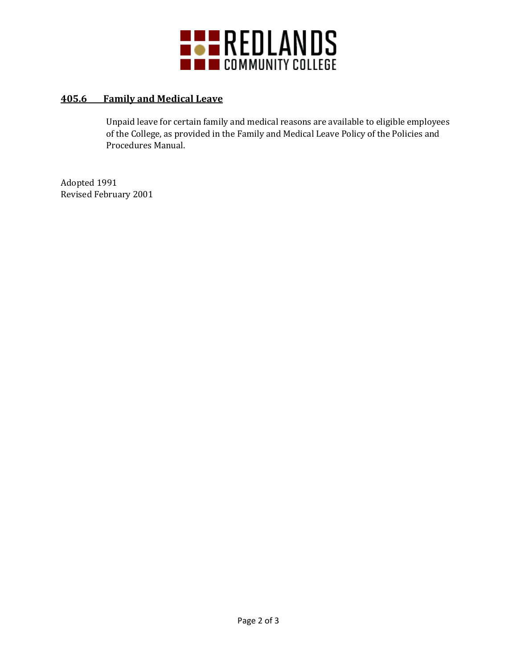

# **405.6 Family and Medical Leave**

Unpaid leave for certain family and medical reasons are available to eligible employees of the College, as provided in the Family and Medical Leave Policy of the Policies and Procedures Manual.

Adopted 1991 Revised February 2001